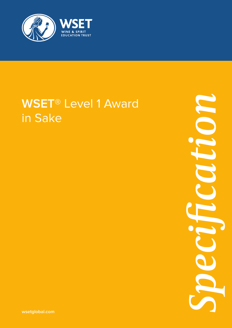

### **WSET**® Level 1 Award in Sake

*Specification*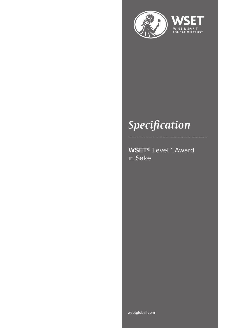

## *Specification*

**WSET®** Level 1 Award in Sake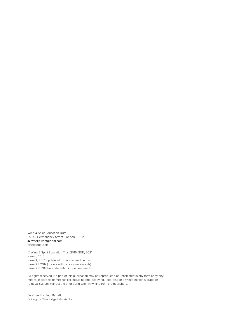Wine & Spirit Education Trust 39–45 Bermondsey Street, London SE1 3XF wset@wsetglobal.com wsetglobal.com

© Wine & Spirit Education Trust 2016, 2017, 2021 Issue 1, 2016 Issue 2, 2017 (update with minor amendments) Issue 2.1, 2017 (update with minor amendments) Issue 2.2, 2021 (update with minor amendments)

All rights reserved. No part of this publication may be reproduced or transmitted in any form or by any means, electronic or mechanical, including photocopying, recording or any information storage or retrieval system, without the prior permission in writing from the publishers.

Designed by Paul Barrett Editing by Cambridge Editorial Ltd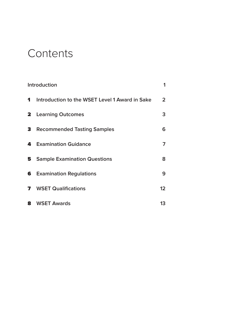### **Contents**

| Introduction   |                                                |                |
|----------------|------------------------------------------------|----------------|
| $\mathbf 1$    | Introduction to the WSET Level 1 Award in Sake | $\overline{2}$ |
| $\mathbf{2}^-$ | <b>Learning Outcomes</b>                       | 3              |
| 3              | <b>Recommended Tasting Samples</b>             | 6              |
| 4              | <b>Examination Guidance</b>                    | 7              |
| 5              | <b>Sample Examination Questions</b>            | 8              |
|                | <b>6</b> Examination Regulations               | 9              |
|                | <b>7</b> WSET Qualifications                   | 12             |
|                | <b>8</b> WSET Awards                           | 13             |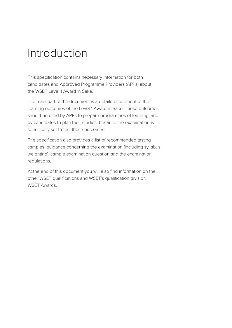### Introduction

This specification contains necessary information for both candidates and Approved Programme Providers (APPs) about the WSET Level 1 Award in Sake.

The main part of the document is a detailed statement of the learning outcomes of the Level 1 Award in Sake. These outcomes should be used by APPs to prepare programmes of learning, and by candidates to plan their studies, because the examination is specifically set to test these outcomes.

The specification also provides a list of recommended tasting samples, guidance concerning the examination (including syllabus weighting), sample examination question and the examination regulations.

At the end of this document you will also find information on the other WSET qualifications and WSET's qualification division WSET Awards.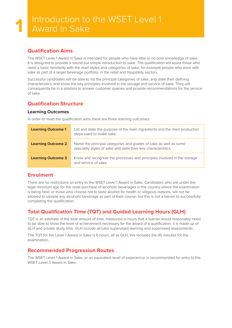#### **Qualification Aims**

The WSET Level 1 Award in Sake is intended for people who have little or no prior knowledge of sake. It is designed to provide a sound but simple introduction to sake. The qualification will assist those who need a basic familiarity with the main styles and categories of sake, for example people who work with sake as part of a larger beverage portfolio, in the retail and hospitality sectors.

Successful candidates will be able to list the principal categories of sake, and state their defining characteristics, and know the key principles involved in the storage and service of sake. They will consequently be in a position to answer customer queries and provide recommendations for the service of sake.

#### **Qualification Structure**

#### **Learning Outcomes**

In order to meet the qualification aims there are three learning outcomes.

| <b>Learning Outcome 1</b> | List and state the purpose of the main ingredients and the main production<br>steps used to make sake.                             |
|---------------------------|------------------------------------------------------------------------------------------------------------------------------------|
| <b>Learning Outcome 2</b> | Name the principal categories and grades of sake as well as some<br>speciality styles of sake and state their key characteristics. |
| <b>Learning Outcome 3</b> | Know and recognise the processes and principles involved in the storage<br>and service of sake.                                    |

#### **Enrolment**

There are no restrictions on entry to the WSET Level 1 Award in Sake. Candidates who are under the legal minimum age for the retail purchase of alcoholic beverages in the country where the examination is being held, or those who choose not to taste alcohol for health or religious reasons, will not be allowed to sample any alcoholic beverage as part of their course, but this is not a barrier to successfully completing the qualification.

#### **Total Qualification Time (TQT) and Guided Learning Hours (GLH)**

TQT is an estimate of the total amount of time, measured in hours that a learner would reasonably need to be able to show the level of achievement necessary for the award of a qualification, it is made up of GLH and private study time. GLH include all tutor supervised learning and supervised assessments.

The TQT for the Level 1 Award in Sake is 6 hours, all as GLH, this includes the 45 minutes for the examination.

#### **Recommended Progression Routes**

The WSET Level 1 Award in Sake, or an equivalent level of experience, is recommended for entry to the WSET Level 3 Award in Sake.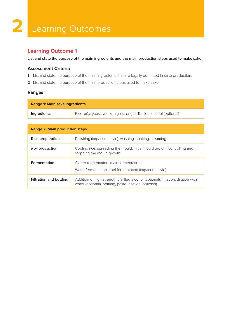# **2** Learning Outcomes

#### **Learning Outcome 1**

**List and state the purpose of the main ingredients and the main production steps used to make sake.**

#### **Assessment Criteria**

- **1** List and state the purpose of the main ingredients that are legally permitted in sake production.
- **2** List and state the purpose of the main production steps used to make sake.

#### **Ranges**

| <b>Range 1: Main sake ingredients</b> |                                                                      |  |
|---------------------------------------|----------------------------------------------------------------------|--|
| Ingredients                           | Rice, kōji, yeast, water, high strength distilled alcohol (optional) |  |

| <b>Range 2: Main production steps</b> |                                                                                                                                            |  |
|---------------------------------------|--------------------------------------------------------------------------------------------------------------------------------------------|--|
| <b>Rice preparation</b>               | Polishing (impact on style), washing, soaking, steaming                                                                                    |  |
| Kōji production                       | Cooling rice, spreading the mould, initial mould growth, controlling and<br>stopping the mould growth                                      |  |
| <b>Fermentation</b>                   | Starter fermentation, main fermentation<br>Warm fermentation, cool fermentation (impact on style)                                          |  |
| Filtration and bottling               | Addition of high strength distilled alcohol (optional), filtration, dilution with<br>water (optional), bottling, pasteurisation (optional) |  |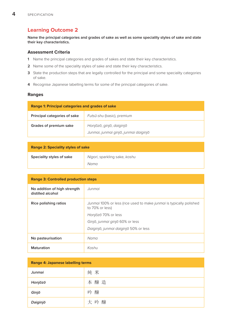#### **Learning Outcome 2**

**Name the principal categories and grades of sake as well as some speciality styles of sake and state their key characteristics.**

#### **Assessment Criteria**

- **1** Name the principal categories and grades of sakes and state their key characteristics.
- **2** Name some of the speciality styles of sake and state their key characteristics.
- **3** State the production steps that are legally controlled for the principal and some speciality categories of sake.
- **4** Recognise Japanese labelling terms for some of the principal categories of sake.

#### **Ranges**

| <b>Range 1: Principal categories and grades of sake</b> |                                                                   |
|---------------------------------------------------------|-------------------------------------------------------------------|
| Principal categories of sake                            | Futsū-shu (basic), premium                                        |
| Grades of premium sake                                  | Honjōzō, ginjō, daiginjō<br>Junmai, junmai ginjō, junmai daiginjō |

| <b>Range 2: Speciality styles of sake</b> |                                       |
|-------------------------------------------|---------------------------------------|
| Speciality styles of sake                 | Nigori, sparkling sake, koshu<br>Nama |

| <b>Range 3: Controlled production steps</b>       |                                                                                                                             |
|---------------------------------------------------|-----------------------------------------------------------------------------------------------------------------------------|
| No addition of high strength<br>distilled alcohol | . Junmai                                                                                                                    |
| Rice polishing ratios                             | <i>Junmai</i> 100% or less (rice used to make <i>junmai</i> is typically polished<br>to 70% or less)<br>Honjōzō 70% or less |
|                                                   | Ginjō, junmai ginjō 60% or less<br>Daiginjō, junmai daiginjō 50% or less                                                    |
| No pasteurisation                                 | Nama                                                                                                                        |
| <b>Maturation</b>                                 | Koshu                                                                                                                       |

| <b>Range 4: Japanese labelling terms</b> |     |
|------------------------------------------|-----|
| Junmai                                   | 純米  |
| Honjōzō                                  | 本醸造 |
| Ginjō                                    | 吟醸  |
| Daiginjō                                 | 大吟醸 |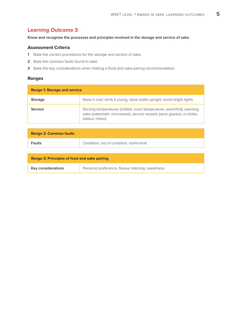#### **Learning Outcome 3**

**Know and recognise the processes and principles involved in the storage and service of sake.**

#### **Assessment Criteria**

- **1** State the correct procedures for the storage and service of sake.
- **2** State the common faults found in sake.
- **3** State the key considerations when making a food and sake pairing recommendation.

#### **Ranges**

| <b>Range 1: Storage and service</b> |                                                                                                                                                               |  |
|-------------------------------------|---------------------------------------------------------------------------------------------------------------------------------------------------------------|--|
| <b>Storage</b>                      | Keep it cool, drink it young, store bottle upright, avoid bright lights                                                                                       |  |
| Service                             | Serving temperatures (chilled, room temperature, warm/hot), warming<br>sake (waterbath, microwave), service vessels (wine glasses, o-choko,<br>tokkuri, masu) |  |

| <b>Range 2: Common faults</b> |                                        |
|-------------------------------|----------------------------------------|
| <b>Faults</b>                 | Oxidation, out of condition, nama-hine |

| <b>Range 3: Principles of food and sake pairing</b> |                                                   |  |
|-----------------------------------------------------|---------------------------------------------------|--|
| Key considerations                                  | Personal preference, flavour intensity, sweetness |  |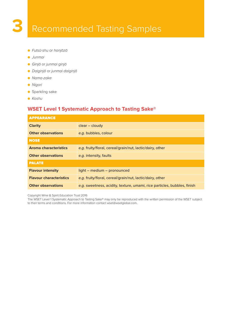- *Futsū-shu or honjōzō*
- *Junmai*
- *Ginjō* or *junmai ginjō*
- *Daiginjō* or *junmai daiginjō*
- *Nama-zake*
- *Nigori*
- Sparkling sake
- *Koshu*

#### **WSET Level 1 Systematic Approach to Tasting Sake®**

| <b>APPEARANCE</b>              |                                                                          |  |
|--------------------------------|--------------------------------------------------------------------------|--|
| <b>Clarity</b>                 | $clear - cloudy$                                                         |  |
| <b>Other observations</b>      | e.g. bubbles, colour                                                     |  |
| <b>NOSE</b>                    |                                                                          |  |
| <b>Aroma characteristics</b>   | e.g. fruity/floral, cereal/grain/nut, lactic/dairy, other                |  |
| <b>Other observations</b>      | e.g. intensity, faults                                                   |  |
| <b>PALATE</b>                  |                                                                          |  |
| <b>Flavour intensity</b>       | $light - medium - pronounced$                                            |  |
| <b>Flavour characteristics</b> | e.g. fruity/floral, cereal/grain/nut, lactic/dairy, other                |  |
| <b>Other observations</b>      | e.g. sweetness, acidity, texture, umami, rice particles, bubbles, finish |  |

Copyright Wine & Spirit Education Trust 2016

The WSET Level 1 Systematic Approach to Tasting Sake® may only be reproduced with the written permission of the WSET subject to their terms and conditions. For more information contact wset@wsetglobal.com.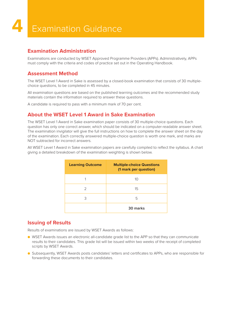## **Examination Guidance**

#### **Examination Administration**

Examinations are conducted by WSET Approved Programme Providers (APPs). Administratively, APPs must comply with the criteria and codes of practice set out in the Operating Handbook.

#### **Assessment Method**

The WSET Level 1 Award in Sake is assessed by a closed-book examination that consists of 30 multiplechoice questions, to be completed in 45 minutes.

All examination questions are based on the published learning outcomes and the recommended study materials contain the information required to answer these questions.

A candidate is required to pass with a minimum mark of 70 per cent.

#### **About the WSET Level 1 Award in Sake Examination**

The WSET Level 1 Award in Sake examination paper consists of 30 multiple-choice questions. Each question has only one correct answer, which should be indicated on a computer-readable answer sheet. The examination invigilator will give the full instructions on how to complete the answer sheet on the day of the examination. Each correctly answered multiple-choice question is worth one mark, and marks are NOT subtracted for incorrect answers.

All WSET Level 1 Award in Sake examination papers are carefully compiled to reflect the syllabus. A chart giving a detailed breakdown of the examination weighting is shown below.

| <b>Learning Outcome</b> | <b>Multiple-choice Questions</b><br>(1 mark per question) |
|-------------------------|-----------------------------------------------------------|
|                         | 10                                                        |
| 2                       | 15                                                        |
| 3                       | 5                                                         |
|                         | 30 marks                                                  |

#### **Issuing of Results**

Results of examinations are issued by WSET Awards as follows:

- WSET Awards issues an electronic all-candidate grade list to the APP so that they can communicate results to their candidates. This grade list will be issued within two weeks of the receipt of completed scripts by WSET Awards.
- Subsequently, WSET Awards posts candidates' letters and certificates to APPs, who are responsible for forwarding these documents to their candidates.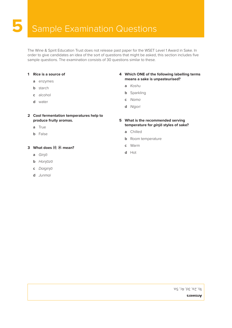The Wine & Spirit Education Trust does not release past paper for the WSET Level 1 Award in Sake. In order to give candidates an idea of the sort of questions that might be asked, this section includes five sample questions. The examination consists of 30 questions similar to these.

#### **1 Rice is a source of**

- **a** enzymes
- **b** starch
- **c** alcohol
- **d** water
- **2 Cool fermentation temperatures help to produce fruity aromas.** 
	- **a** True
	- **b** False

#### **3 What does** 純 米 **mean?**

- **a** *Ginjō*
- **b** *Honjōzō*
- **c** *Daiginjō*
- **d** *Junmai*

#### **4 Which ONE of the following labelling terms means a sake is unpasteurised?**

- **a** *Koshu*
- **b** Sparkling
- **c** *Nama*
- **d** *Nigori*

#### **5 What is the recommended serving temperature for** *ginjō* **styles of sake?**

- **a** Chilled
- **b** Room temperature
- **c** Warm
- **d** Hot

1b, 2a, 3d, 4c, 5a.

**Answers**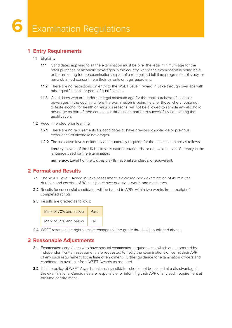#### **1 Entry Requirements**

- **1.1** Eligibility
	- **1.1.1** Candidates applying to sit the examination must be over the legal minimum age for the retail purchase of alcoholic beverages in the country where the examination is being held, or be preparing for the examination as part of a recognised full-time programme of study, or have obtained consent from their parents or legal guardians.
	- **1.1.2** There are no restrictions on entry to the WSET Level 1 Award in Sake through overlaps with other qualifications or parts of qualifications.
	- **1.1.3** Candidates who are under the legal minimum age for the retail purchase of alcoholic beverages in the country where the examination is being held, or those who choose not to taste alcohol for health or religious reasons, will not be allowed to sample any alcoholic beverage as part of their course, but this is not a barrier to successfully completing the qualification.
- **1.2** Recommended prior learning
	- **1.2.1** There are no requirements for candidates to have previous knowledge or previous experience of alcoholic beverages.
	- **1.2.2** The indicative levels of literacy and numeracy required for the examination are as follows:

**literacy:** Level 1 of the UK basic skills national standards, or equivalent level of literacy in the language used for the examination.

**numeracy:** Level 1 of the UK basic skills national standards, or equivalent.

#### **2 Format and Results**

- **2.1** The WSET Level 1 Award in Sake assessment is a closed-book examination of 45 minutes' duration and consists of 30 multiple-choice questions worth one mark each.
- **2.2** Results for successful candidates will be issued to APPs within two weeks from receipt of completed scripts.
- **2.3** Results are graded as follows:

| Mark of 70% and above | Pass |
|-----------------------|------|
| Mark of 69% and below | Fail |

**2.4** WSET reserves the right to make changes to the grade thresholds published above.

#### **3 Reasonable Adjustments**

- **3.1** Examination candidates who have special examination requirements, which are supported by independent written assessment, are requested to notify the examinations officer at their APP of any such requirement at the time of enrolment. Further guidance for examination officers and candidates is available from WSET Awards as required.
- **3.2** It is the policy of WSET Awards that such candidates should not be placed at a disadvantage in the examinations. Candidates are responsible for informing their APP of any such requirement at the time of enrolment.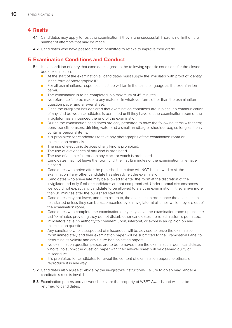#### **4 Resits**

- **4.1** Candidates may apply to resit the examination if they are unsuccessful. There is no limit on the number of attempts that may be made.
- **4.2** Candidates who have passed are not permitted to retake to improve their grade.

#### **5 Examination Conditions and Conduct**

- **5.1** It is a condition of entry that candidates agree to the following specific conditions for the closedbook examination.
	- At the start of the examination all candidates must supply the invigilator with proof of identity in the form of photographic ID.
	- For all examinations, responses must be written in the same language as the examination paper.
	- The examination is to be completed in a maximum of 45 minutes.
	- No reference is to be made to any material, in whatever form, other than the examination question paper and answer sheet.
	- Once the invigilator has declared that examination conditions are in place, no communication of any kind between candidates is permitted until they have left the examination room or the invigilator has announced the end of the examination.
	- During the examination candidates are only permitted to have the following items with them; pens, pencils, erasers, drinking water and a small handbag or shoulder bag so long as it only contains personal items.
	- It is prohibited for candidates to take any photographs of the examination room or examination materials.
	- The use of electronic devices of any kind is prohibited.
	- The use of dictionaries of any kind is prohibited.
	- The use of audible 'alarms' on any clock or watch is prohibited.
	- Candidates may not leave the room until the first 15 minutes of the examination time have elapsed.
	- Candidates who arrive after the published start time will NOT be allowed to sit the examination if any other candidate has already left the examination.
	- Candidates who arrive late may be allowed to enter the room at the discretion of the invigilator and only if other candidates are not compromised. Under normal circumstances we would not expect any candidate to be allowed to start the examination if they arrive more than 30 minutes after the published start time.
	- Candidates may not leave, and then return to, the examination room once the examination has started unless they can be accompanied by an invigilator at all times while they are out of the examination room.
	- Candidates who complete the examination early may leave the examination room up until the last 10 minutes providing they do not disturb other candidates; no re-admission is permitted.
	- Invigilators have no authority to comment upon, interpret, or express an opinion on any examination question.
	- Any candidate who is suspected of misconduct will be advised to leave the examination room immediately and their examination paper will be submitted to the Examination Panel to determine its validity and any future ban on sitting papers.
	- No examination question papers are to be removed from the examination room; candidates who fail to submit the question paper with their answer sheet will be deemed guilty of misconduct.
	- It is prohibited for candidates to reveal the content of examination papers to others, or reproduce it in any way.
- **5.2** Candidates also agree to abide by the invigilator's instructions. Failure to do so may render a candidate's results invalid.
- **5.3** Examination papers and answer sheets are the property of WSET Awards and will not be returned to candidates.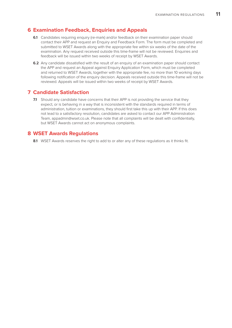#### **6 Examination Feedback, Enquiries and Appeals**

- **6.1** Candidates requiring enquiry (re-mark) and/or feedback on their examination paper should contact their APP and request an Enquiry and Feedback Form. The form must be completed and submitted to WSET Awards along with the appropriate fee within six weeks of the date of the examination. Any request received outside this time-frame will not be reviewed. Enquiries and feedback will be issued within two weeks of receipt by WSET Awards.
- **6.2** Any candidate dissatisfied with the result of an enquiry of an examination paper should contact the APP and request an Appeal against Enquiry Application Form, which must be completed and returned to WSET Awards, together with the appropriate fee, no more than 10 working days following notification of the enquiry decision. Appeals received outside this time-frame will not be reviewed. Appeals will be issued within two weeks of receipt by WSET Awards.

#### **7 Candidate Satisfaction**

**7.1** Should any candidate have concerns that their APP is not providing the service that they expect, or is behaving in a way that is inconsistent with the standards required in terms of administration, tuition or examinations, they should first take this up with their APP. If this does not lead to a satisfactory resolution, candidates are asked to contact our APP Administration Team, appadmin@wset.co.uk. Please note that all complaints will be dealt with confidentially, but WSET Awards cannot act on anonymous complaints.

#### **8 WSET Awards Regulations**

8.1 WSET Awards reserves the right to add to or alter any of these regulations as it thinks fit.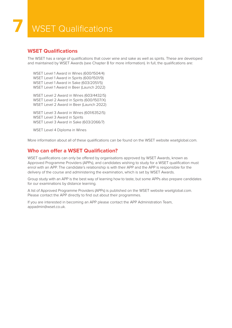# **7** WSET Qualifications

#### **WSET Qualifications**

The WSET has a range of qualifications that cover wine and sake as well as spirits. These are developed and maintained by WSET Awards (see Chapter 8 for more information). In full, the qualifications are:

WSET Level 1 Award in Wines (600/1504/4) WSET Level 1 Award in Spirits (600/1501/9) WSET Level 1 Award in Sake (603/2051/5) WSET Level 1 Award in Beer (Launch 2022)

WSET Level 2 Award in Wines (603/4432/5) WSET Level 2 Award in Spirits (600/1507/X) WSET Level 2 Award in Beer (Launch 2022)

WSET Level 3 Award in Wines (601/6352/5) WSET Level 3 Award in Spirits WSET Level 3 Award in Sake (603/2066/7)

WSET Level 4 Diploma in Wines

More information about all of these qualifications can be found on the WSET website wsetglobal.com.

#### **Who can offer a WSET Qualification?**

WSET qualifications can only be offered by organisations approved by WSET Awards, known as Approved Programme Providers (APPs), and candidates wishing to study for a WSET qualification must enrol with an APP. The candidate's relationship is with their APP and the APP is responsible for the delivery of the course and administering the examination, which is set by WSET Awards.

Group study with an APP is the best way of learning how to taste, but some APPs also prepare candidates for our examinations by distance learning.

A list of Approved Programme Providers (APPs) is published on the WSET website wsetglobal.com. Please contact the APP directly to find out about their programmes.

If you are interested in becoming an APP please contact the APP Administration Team, appadmin@wset.co.uk.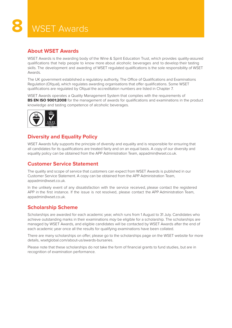### **8** WSET Awards

#### **About WSET Awards**

WSET Awards is the awarding body of the Wine & Spirit Education Trust, which provides quality-assured qualifications that help people to know more about alcoholic beverages and to develop their tasting skills. The development and awarding of WSET regulated qualifications is the sole responsibility of WSET Awards.

The UK government established a regulatory authority, The Office of Qualifications and Examinations Regulation (Ofqual), which regulates awarding organisations that offer qualifications. Some WSET qualifications are regulated by Ofqual the accreditation numbers are listed in Chapter 7.

WSET Awards operates a Quality Management System that complies with the requirements of **BS EN ISO 9001:2008** for the management of awards for qualifications and examinations in the product knowledge and tasting competence of alcoholic beverages.



#### **Diversity and Equality Policy**

WSET Awards fully supports the principle of diversity and equality and is responsible for ensuring that all candidates for its qualifications are treated fairly and on an equal basis. A copy of our diversity and equality policy can be obtained from the APP Administration Team, appadmin@wset.co.uk.

#### **Customer Service Statement**

The quality and scope of service that customers can expect from WSET Awards is published in our Customer Service Statement. A copy can be obtained from the APP Administration Team, appadmin@wset.co.uk.

In the unlikely event of any dissatisfaction with the service received, please contact the registered APP in the first instance. If the issue is not resolved, please contact the APP Administration Team, appadmin@wset.co.uk.

#### **Scholarship Scheme**

Scholarships are awarded for each academic year, which runs from 1 August to 31 July. Candidates who achieve outstanding marks in their examinations *may* be eligible for a scholarship. The scholarships are managed by WSET Awards, and eligible candidates will be contacted by WSET Awards after the end of each academic year once all the results for qualifying examinations have been collated.

There are many scholarships on offer; please go to the scholarships page on the WSET website for more details, wsetglobal.com/about-us/awards-bursaries.

Please note that these scholarships do not take the form of financial grants to fund studies, but are in recognition of examination performance.